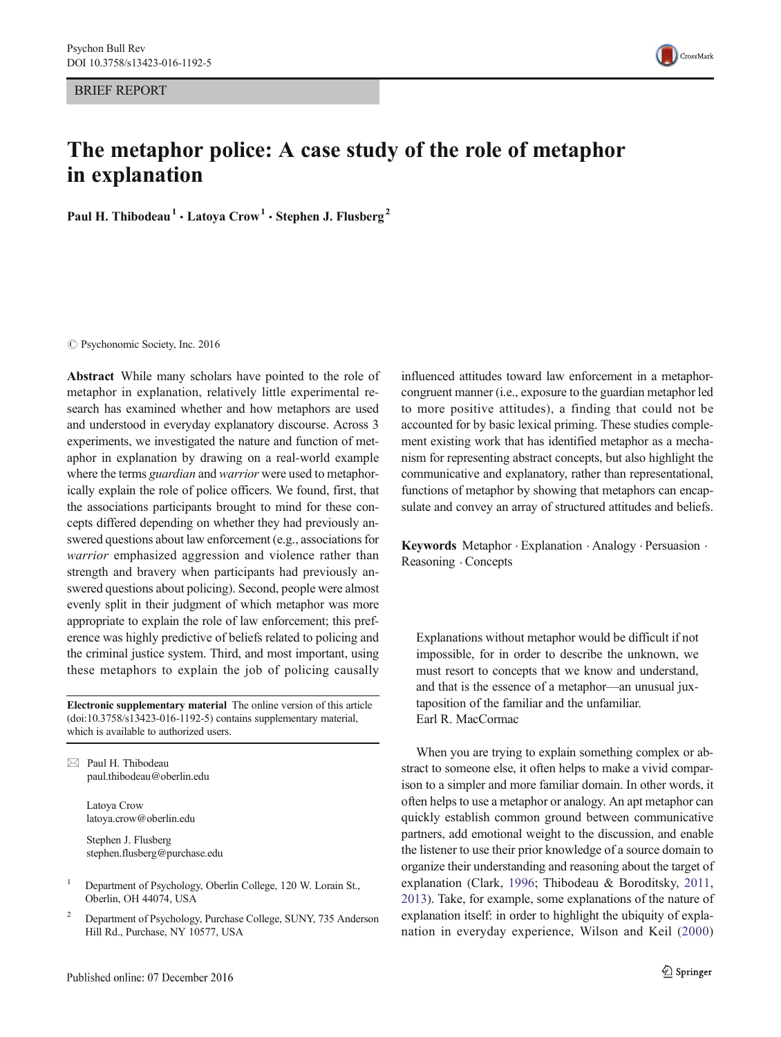BRIEF REPORT



# The metaphor police: A case study of the role of metaphor in explanation

Paul H. Thibodeau<sup>1</sup>  $\cdot$  Latoya Crow<sup>1</sup>  $\cdot$  Stephen J. Flusberg<sup>2</sup>

 $\odot$  Psychonomic Society, Inc. 2016

Abstract While many scholars have pointed to the role of metaphor in explanation, relatively little experimental research has examined whether and how metaphors are used and understood in everyday explanatory discourse. Across 3 experiments, we investigated the nature and function of metaphor in explanation by drawing on a real-world example where the terms *guardian* and *warrior* were used to metaphorically explain the role of police officers. We found, first, that the associations participants brought to mind for these concepts differed depending on whether they had previously answered questions about law enforcement (e.g., associations for warrior emphasized aggression and violence rather than strength and bravery when participants had previously answered questions about policing). Second, people were almost evenly split in their judgment of which metaphor was more appropriate to explain the role of law enforcement; this preference was highly predictive of beliefs related to policing and the criminal justice system. Third, and most important, using these metaphors to explain the job of policing causally

Electronic supplementary material The online version of this article (doi[:10.3758/s13423-016-1192-5\)](http://dx.doi.org/10.3758/s13423-016-1192-5) contains supplementary material, which is available to authorized users.

 $\boxtimes$  Paul H. Thibodeau paul.thibodeau@oberlin.edu

> Latoya Crow latoya.crow@oberlin.edu

Stephen J. Flusberg stephen.flusberg@purchase.edu

<sup>1</sup> Department of Psychology, Oberlin College, 120 W. Lorain St., Oberlin, OH 44074, USA

<sup>2</sup> Department of Psychology, Purchase College, SUNY, 735 Anderson Hill Rd., Purchase, NY 10577, USA

influenced attitudes toward law enforcement in a metaphorcongruent manner (i.e., exposure to the guardian metaphor led to more positive attitudes), a finding that could not be accounted for by basic lexical priming. These studies complement existing work that has identified metaphor as a mechanism for representing abstract concepts, but also highlight the communicative and explanatory, rather than representational, functions of metaphor by showing that metaphors can encapsulate and convey an array of structured attitudes and beliefs.

Keywords Metaphor . Explanation . Analogy . Persuasion . Reasoning . Concepts

Explanations without metaphor would be difficult if not impossible, for in order to describe the unknown, we must resort to concepts that we know and understand, and that is the essence of a metaphor—an unusual juxtaposition of the familiar and the unfamiliar. Earl R. MacCormac

When you are trying to explain something complex or abstract to someone else, it often helps to make a vivid comparison to a simpler and more familiar domain. In other words, it often helps to use a metaphor or analogy. An apt metaphor can quickly establish common ground between communicative partners, add emotional weight to the discussion, and enable the listener to use their prior knowledge of a source domain to organize their understanding and reasoning about the target of explanation (Clark, [1996;](#page-10-0) Thibodeau & Boroditsky, [2011,](#page-11-0) [2013\)](#page-11-0). Take, for example, some explanations of the nature of explanation itself: in order to highlight the ubiquity of explanation in everyday experience, Wilson and Keil ([2000](#page-11-0))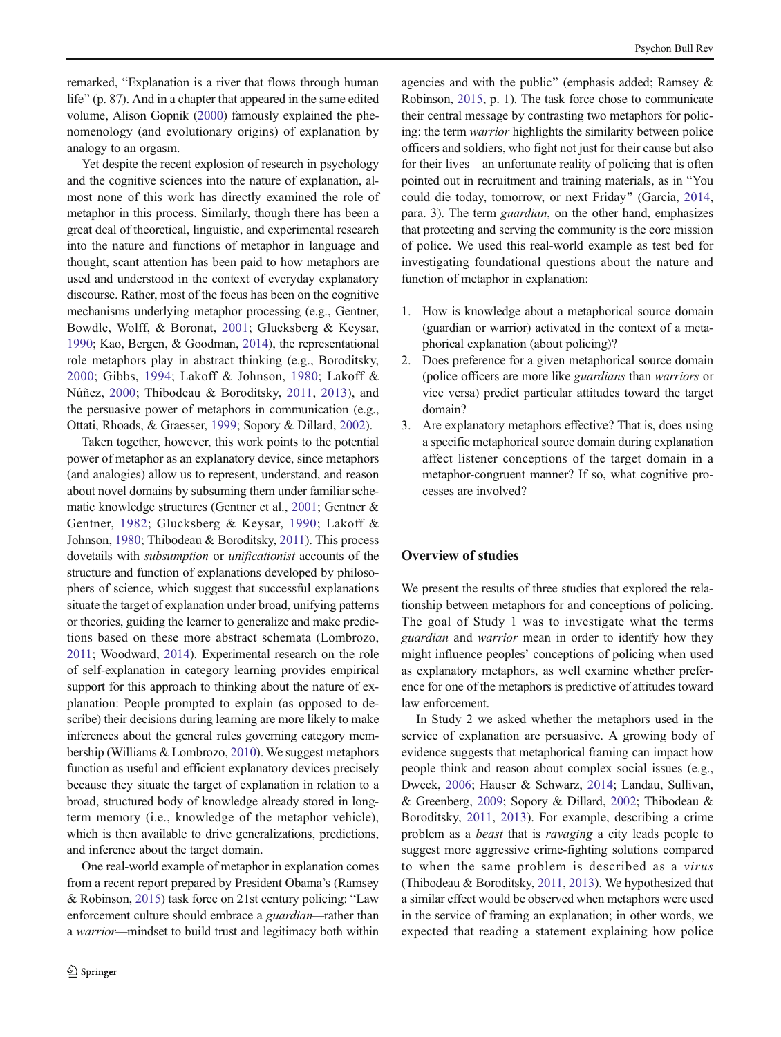remarked, "Explanation is a river that flows through human life" (p. 87). And in a chapter that appeared in the same edited volume, Alison Gopnik ([2000](#page-11-0)) famously explained the phenomenology (and evolutionary origins) of explanation by analogy to an orgasm.

Yet despite the recent explosion of research in psychology and the cognitive sciences into the nature of explanation, almost none of this work has directly examined the role of metaphor in this process. Similarly, though there has been a great deal of theoretical, linguistic, and experimental research into the nature and functions of metaphor in language and thought, scant attention has been paid to how metaphors are used and understood in the context of everyday explanatory discourse. Rather, most of the focus has been on the cognitive mechanisms underlying metaphor processing (e.g., Gentner, Bowdle, Wolff, & Boronat, [2001;](#page-10-0) Glucksberg & Keysar, [1990;](#page-11-0) Kao, Bergen, & Goodman, [2014\)](#page-11-0), the representational role metaphors play in abstract thinking (e.g., Boroditsky, [2000;](#page-10-0) Gibbs, [1994;](#page-11-0) Lakoff & Johnson, [1980;](#page-11-0) Lakoff & Núñez, [2000;](#page-11-0) Thibodeau & Boroditsky, [2011,](#page-11-0) [2013](#page-11-0)), and the persuasive power of metaphors in communication (e.g., Ottati, Rhoads, & Graesser, [1999](#page-11-0); Sopory & Dillard, [2002\)](#page-11-0).

Taken together, however, this work points to the potential power of metaphor as an explanatory device, since metaphors (and analogies) allow us to represent, understand, and reason about novel domains by subsuming them under familiar schematic knowledge structures (Gentner et al., [2001;](#page-10-0) Gentner & Gentner, [1982;](#page-10-0) Glucksberg & Keysar, [1990;](#page-11-0) Lakoff & Johnson, [1980](#page-11-0); Thibodeau & Boroditsky, [2011\)](#page-11-0). This process dovetails with subsumption or unificationist accounts of the structure and function of explanations developed by philosophers of science, which suggest that successful explanations situate the target of explanation under broad, unifying patterns or theories, guiding the learner to generalize and make predictions based on these more abstract schemata (Lombrozo, [2011](#page-11-0); Woodward, [2014\)](#page-11-0). Experimental research on the role of self-explanation in category learning provides empirical support for this approach to thinking about the nature of explanation: People prompted to explain (as opposed to describe) their decisions during learning are more likely to make inferences about the general rules governing category membership (Williams & Lombrozo, [2010](#page-11-0)). We suggest metaphors function as useful and efficient explanatory devices precisely because they situate the target of explanation in relation to a broad, structured body of knowledge already stored in longterm memory (i.e., knowledge of the metaphor vehicle), which is then available to drive generalizations, predictions, and inference about the target domain.

One real-world example of metaphor in explanation comes from a recent report prepared by President Obama's (Ramsey & Robinson,  $2015$ ) task force on 21st century policing: "Law enforcement culture should embrace a *guardian*—rather than a warrior—mindset to build trust and legitimacy both within agencies and with the public" (emphasis added; Ramsey & Robinson, [2015](#page-11-0), p. 1). The task force chose to communicate their central message by contrasting two metaphors for policing: the term warrior highlights the similarity between police officers and soldiers, who fight not just for their cause but also for their lives—an unfortunate reality of policing that is often pointed out in recruitment and training materials, as in "You could die today, tomorrow, or next Friday^ (Garcia, [2014,](#page-10-0) para. 3). The term guardian, on the other hand, emphasizes that protecting and serving the community is the core mission of police. We used this real-world example as test bed for investigating foundational questions about the nature and function of metaphor in explanation:

- 1. How is knowledge about a metaphorical source domain (guardian or warrior) activated in the context of a metaphorical explanation (about policing)?
- 2. Does preference for a given metaphorical source domain (police officers are more like guardians than warriors or vice versa) predict particular attitudes toward the target domain?
- 3. Are explanatory metaphors effective? That is, does using a specific metaphorical source domain during explanation affect listener conceptions of the target domain in a metaphor-congruent manner? If so, what cognitive processes are involved?

## Overview of studies

We present the results of three studies that explored the relationship between metaphors for and conceptions of policing. The goal of Study 1 was to investigate what the terms guardian and warrior mean in order to identify how they might influence peoples' conceptions of policing when used as explanatory metaphors, as well examine whether preference for one of the metaphors is predictive of attitudes toward law enforcement.

In Study 2 we asked whether the metaphors used in the service of explanation are persuasive. A growing body of evidence suggests that metaphorical framing can impact how people think and reason about complex social issues (e.g., Dweck, [2006;](#page-10-0) Hauser & Schwarz, [2014;](#page-11-0) Landau, Sullivan, & Greenberg, [2009;](#page-11-0) Sopory & Dillard, [2002](#page-11-0); Thibodeau & Boroditsky, [2011,](#page-11-0) [2013\)](#page-11-0). For example, describing a crime problem as a beast that is ravaging a city leads people to suggest more aggressive crime-fighting solutions compared to when the same problem is described as a virus (Thibodeau & Boroditsky, [2011](#page-11-0), [2013\)](#page-11-0). We hypothesized that a similar effect would be observed when metaphors were used in the service of framing an explanation; in other words, we expected that reading a statement explaining how police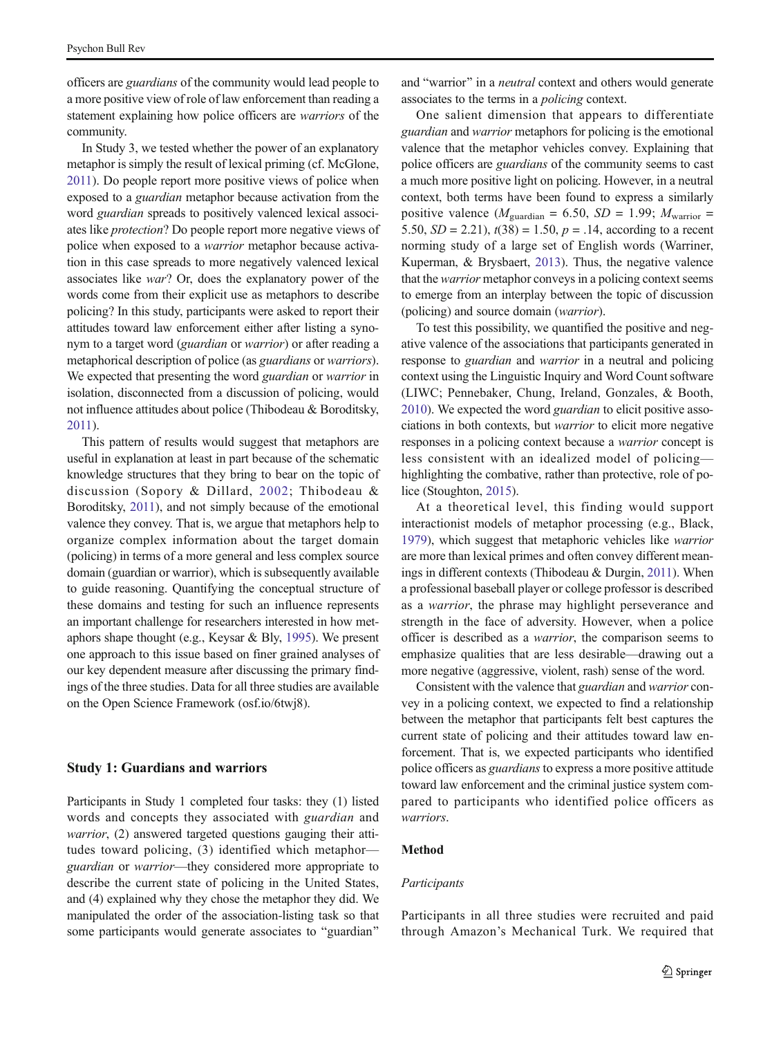officers are guardians of the community would lead people to a more positive view of role of law enforcement than reading a statement explaining how police officers are warriors of the community.

In Study 3, we tested whether the power of an explanatory metaphor is simply the result of lexical priming (cf. McGlone, [2011](#page-11-0)). Do people report more positive views of police when exposed to a guardian metaphor because activation from the word guardian spreads to positively valenced lexical associates like protection? Do people report more negative views of police when exposed to a warrior metaphor because activation in this case spreads to more negatively valenced lexical associates like war? Or, does the explanatory power of the words come from their explicit use as metaphors to describe policing? In this study, participants were asked to report their attitudes toward law enforcement either after listing a synonym to a target word (guardian or warrior) or after reading a metaphorical description of police (as guardians or warriors). We expected that presenting the word *guardian* or *warrior* in isolation, disconnected from a discussion of policing, would not influence attitudes about police (Thibodeau & Boroditsky, [2011](#page-11-0)).

This pattern of results would suggest that metaphors are useful in explanation at least in part because of the schematic knowledge structures that they bring to bear on the topic of discussion (Sopory & Dillard, [2002;](#page-11-0) Thibodeau & Boroditsky, [2011](#page-11-0)), and not simply because of the emotional valence they convey. That is, we argue that metaphors help to organize complex information about the target domain (policing) in terms of a more general and less complex source domain (guardian or warrior), which is subsequently available to guide reasoning. Quantifying the conceptual structure of these domains and testing for such an influence represents an important challenge for researchers interested in how metaphors shape thought (e.g., Keysar & Bly, [1995](#page-11-0)). We present one approach to this issue based on finer grained analyses of our key dependent measure after discussing the primary findings of the three studies. Data for all three studies are available on the Open Science Framework (osf.io/6twj8).

## Study 1: Guardians and warriors

Participants in Study 1 completed four tasks: they (1) listed words and concepts they associated with guardian and warrior, (2) answered targeted questions gauging their attitudes toward policing, (3) identified which metaphor guardian or warrior—they considered more appropriate to describe the current state of policing in the United States, and (4) explained why they chose the metaphor they did. We manipulated the order of the association-listing task so that some participants would generate associates to "guardian"

and "warrior" in a *neutral* context and others would generate associates to the terms in a policing context.

One salient dimension that appears to differentiate guardian and warrior metaphors for policing is the emotional valence that the metaphor vehicles convey. Explaining that police officers are guardians of the community seems to cast a much more positive light on policing. However, in a neutral context, both terms have been found to express a similarly positive valence ( $M_{\text{guardian}} = 6.50$ ,  $SD = 1.99$ ;  $M_{\text{warrior}} =$ 5.50,  $SD = 2.21$ ,  $t(38) = 1.50$ ,  $p = .14$ , according to a recent norming study of a large set of English words (Warriner, Kuperman, & Brysbaert, [2013\)](#page-11-0). Thus, the negative valence that the warrior metaphor conveys in a policing context seems to emerge from an interplay between the topic of discussion (policing) and source domain (warrior).

To test this possibility, we quantified the positive and negative valence of the associations that participants generated in response to *guardian* and *warrior* in a neutral and policing context using the Linguistic Inquiry and Word Count software (LIWC; Pennebaker, Chung, Ireland, Gonzales, & Booth, [2010\)](#page-11-0). We expected the word guardian to elicit positive associations in both contexts, but warrior to elicit more negative responses in a policing context because a warrior concept is less consistent with an idealized model of policing highlighting the combative, rather than protective, role of police (Stoughton, [2015](#page-11-0)).

At a theoretical level, this finding would support interactionist models of metaphor processing (e.g., Black, [1979\)](#page-10-0), which suggest that metaphoric vehicles like warrior are more than lexical primes and often convey different meanings in different contexts (Thibodeau & Durgin, [2011\)](#page-11-0). When a professional baseball player or college professor is described as a warrior, the phrase may highlight perseverance and strength in the face of adversity. However, when a police officer is described as a warrior, the comparison seems to emphasize qualities that are less desirable—drawing out a more negative (aggressive, violent, rash) sense of the word.

Consistent with the valence that guardian and warrior convey in a policing context, we expected to find a relationship between the metaphor that participants felt best captures the current state of policing and their attitudes toward law enforcement. That is, we expected participants who identified police officers as guardians to express a more positive attitude toward law enforcement and the criminal justice system compared to participants who identified police officers as warriors.

## Method

#### Participants

Participants in all three studies were recruited and paid through Amazon's Mechanical Turk. We required that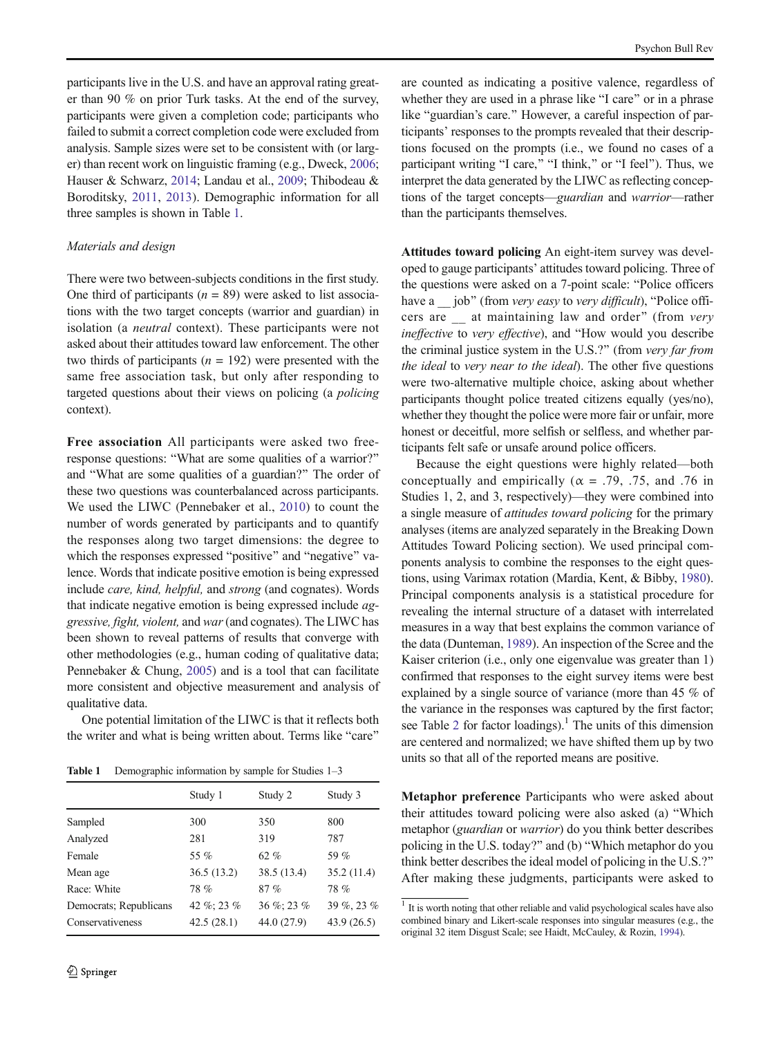<span id="page-3-0"></span>participants live in the U.S. and have an approval rating greater than 90 % on prior Turk tasks. At the end of the survey, participants were given a completion code; participants who failed to submit a correct completion code were excluded from analysis. Sample sizes were set to be consistent with (or larger) than recent work on linguistic framing (e.g., Dweck, [2006](#page-10-0); Hauser & Schwarz, [2014](#page-11-0); Landau et al., [2009](#page-11-0); Thibodeau & Boroditsky, [2011](#page-11-0), [2013\)](#page-11-0). Demographic information for all three samples is shown in Table 1.

#### Materials and design

There were two between-subjects conditions in the first study. One third of participants ( $n = 89$ ) were asked to list associations with the two target concepts (warrior and guardian) in isolation (a neutral context). These participants were not asked about their attitudes toward law enforcement. The other two thirds of participants ( $n = 192$ ) were presented with the same free association task, but only after responding to targeted questions about their views on policing (a policing context).

Free association All participants were asked two freeresponse questions: "What are some qualities of a warrior?" and "What are some qualities of a guardian?" The order of these two questions was counterbalanced across participants. We used the LIWC (Pennebaker et al., [2010](#page-11-0)) to count the number of words generated by participants and to quantify the responses along two target dimensions: the degree to which the responses expressed "positive" and "negative" valence. Words that indicate positive emotion is being expressed include care, kind, helpful, and strong (and cognates). Words that indicate negative emotion is being expressed include aggressive, fight, violent, and war (and cognates). The LIWC has been shown to reveal patterns of results that converge with other methodologies (e.g., human coding of qualitative data; Pennebaker & Chung, [2005\)](#page-11-0) and is a tool that can facilitate more consistent and objective measurement and analysis of qualitative data.

One potential limitation of the LIWC is that it reflects both the writer and what is being written about. Terms like "care"

Table 1 Demographic information by sample for Studies 1–3

are counted as indicating a positive valence, regardless of whether they are used in a phrase like "I care" or in a phrase like "guardian's care." However, a careful inspection of participants' responses to the prompts revealed that their descriptions focused on the prompts (i.e., we found no cases of a participant writing "I care," "I think," or "I feel"). Thus, we interpret the data generated by the LIWC as reflecting conceptions of the target concepts—guardian and warrior—rather than the participants themselves.

Attitudes toward policing An eight-item survey was developed to gauge participants' attitudes toward policing. Three of the questions were asked on a 7-point scale: "Police officers have a \_\_ job" (from very easy to very difficult), "Police officers are at maintaining law and order" (from very ineffective to very effective), and "How would you describe the criminal justice system in the U.S.?" (from very far from the ideal to very near to the ideal). The other five questions were two-alternative multiple choice, asking about whether participants thought police treated citizens equally (yes/no), whether they thought the police were more fair or unfair, more honest or deceitful, more selfish or selfless, and whether participants felt safe or unsafe around police officers.

Because the eight questions were highly related—both conceptually and empirically ( $\alpha = .79, .75,$  and .76 in Studies 1, 2, and 3, respectively)—they were combined into a single measure of attitudes toward policing for the primary analyses (items are analyzed separately in the Breaking Down Attitudes Toward Policing section). We used principal components analysis to combine the responses to the eight questions, using Varimax rotation (Mardia, Kent, & Bibby, [1980\)](#page-11-0). Principal components analysis is a statistical procedure for revealing the internal structure of a dataset with interrelated measures in a way that best explains the common variance of the data (Dunteman, [1989\)](#page-10-0). An inspection of the Scree and the Kaiser criterion (i.e., only one eigenvalue was greater than 1) confirmed that responses to the eight survey items were best explained by a single source of variance (more than 45 % of the variance in the responses was captured by the first factor; see Table [2](#page-4-0) for factor loadings).<sup>1</sup> The units of this dimension are centered and normalized; we have shifted them up by two units so that all of the reported means are positive.

Metaphor preference Participants who were asked about their attitudes toward policing were also asked (a) "Which metaphor (guardian or warrior) do you think better describes policing in the U.S. today?" and (b) "Which metaphor do you think better describes the ideal model of policing in the U.S.?" After making these judgments, participants were asked to

 $1$  It is worth noting that other reliable and valid psychological scales have also combined binary and Likert-scale responses into singular measures (e.g., the original 32 item Disgust Scale; see Haidt, McCauley, & Rozin, [1994](#page-11-0)).

|                        | Study 1    | Study 2     | Study 3    |
|------------------------|------------|-------------|------------|
| Sampled                | 300        | 350         | 800        |
| Analyzed               | 281        | 319         | 787        |
| Female                 | 55 %       | 62%         | 59 %       |
| Mean age               | 36.5(13.2) | 38.5 (13.4) | 35.2(11.4) |
| Race: White            | 78%        | 87%         | 78%        |
| Democrats; Republicans | 42 %; 23 % | 36 %; 23 %  | 39 %, 23 % |
| Conservativeness       | 42.5(28.1) | 44.0 (27.9) | 43.9(26.5) |
|                        |            |             |            |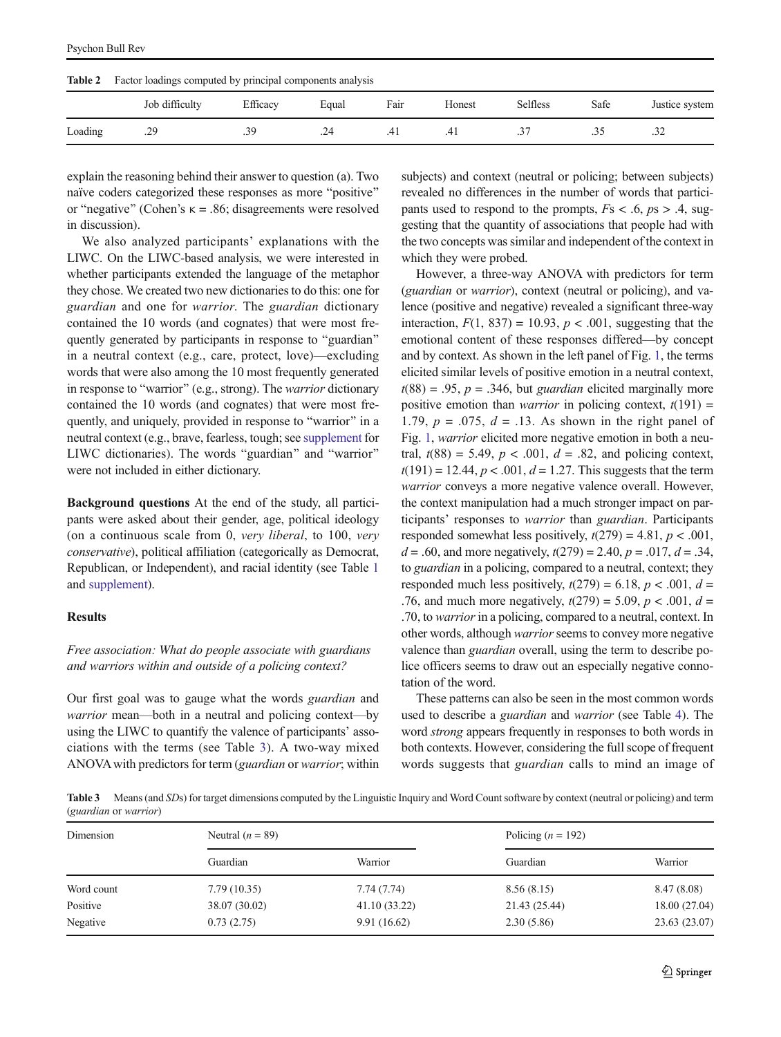<span id="page-4-0"></span>

|         | Job difficulty | Efficacy | Equal | Fair | Honest | <b>Selfless</b>          | Safe | Justice system |
|---------|----------------|----------|-------|------|--------|--------------------------|------|----------------|
| Loading | .29            | $\cdot$  | .24   |      | .41    | $\overline{\phantom{0}}$ |      | ے د            |

explain the reasoning behind their answer to question (a). Two naïve coders categorized these responses as more "positive" or "negative" (Cohen's  $\kappa = .86$ ; disagreements were resolved in discussion).

We also analyzed participants' explanations with the LIWC. On the LIWC-based analysis, we were interested in whether participants extended the language of the metaphor they chose. We created two new dictionaries to do this: one for guardian and one for warrior. The guardian dictionary contained the 10 words (and cognates) that were most frequently generated by participants in response to "guardian" in a neutral context (e.g., care, protect, love)—excluding words that were also among the 10 most frequently generated in response to "warrior" (e.g., strong). The *warrior* dictionary contained the 10 words (and cognates) that were most frequently, and uniquely, provided in response to "warrior" in a neutral context (e.g., brave, fearless, tough; see supplement for LIWC dictionaries). The words "guardian" and "warrior" were not included in either dictionary.

Background questions At the end of the study, all participants were asked about their gender, age, political ideology (on a continuous scale from 0, very liberal, to 100, very conservative), political affiliation (categorically as Democrat, Republican, or Independent), and racial identity (see Table [1](#page-3-0) and supplement).

# Results

# Free association: What do people associate with guardians and warriors within and outside of a policing context?

Our first goal was to gauge what the words guardian and warrior mean—both in a neutral and policing context—by using the LIWC to quantify the valence of participants' associations with the terms (see Table 3). A two-way mixed ANOVAwith predictors for term (guardian or warrior; within subjects) and context (neutral or policing; between subjects) revealed no differences in the number of words that participants used to respond to the prompts,  $Fs < .6$ ,  $ps > .4$ , suggesting that the quantity of associations that people had with the two concepts was similar and independent of the context in which they were probed.

However, a three-way ANOVA with predictors for term (guardian or warrior), context (neutral or policing), and valence (positive and negative) revealed a significant three-way interaction,  $F(1, 837) = 10.93$ ,  $p < .001$ , suggesting that the emotional content of these responses differed—by concept and by context. As shown in the left panel of Fig. [1,](#page-5-0) the terms elicited similar levels of positive emotion in a neutral context,  $t(88) = .95$ ,  $p = .346$ , but *guardian* elicited marginally more positive emotion than *warrior* in policing context,  $t(191) =$ 1.79,  $p = .075$ ,  $d = .13$ . As shown in the right panel of Fig. [1,](#page-5-0) warrior elicited more negative emotion in both a neutral,  $t(88) = 5.49$ ,  $p < .001$ ,  $d = .82$ , and policing context,  $t(191) = 12.44, p < .001, d = 1.27$ . This suggests that the term warrior conveys a more negative valence overall. However, the context manipulation had a much stronger impact on participants' responses to warrior than guardian. Participants responded somewhat less positively,  $t(279) = 4.81$ ,  $p < .001$ ,  $d = .60$ , and more negatively,  $t(279) = 2.40$ ,  $p = .017$ ,  $d = .34$ , to guardian in a policing, compared to a neutral, context; they responded much less positively,  $t(279) = 6.18$ ,  $p < .001$ ,  $d =$ .76, and much more negatively,  $t(279) = 5.09$ ,  $p < .001$ ,  $d =$ .70, to *warrior* in a policing, compared to a neutral, context. In other words, although *warrior* seems to convey more negative valence than *guardian* overall, using the term to describe police officers seems to draw out an especially negative connotation of the word.

These patterns can also be seen in the most common words used to describe a guardian and warrior (see Table [4](#page-5-0)). The word strong appears frequently in responses to both words in both contexts. However, considering the full scope of frequent words suggests that guardian calls to mind an image of

Table 3 Means (and SDs) for target dimensions computed by the Linguistic Inquiry and Word Count software by context (neutral or policing) and term (guardian or warrior)

| Dimension  | Neutral $(n = 89)$ |               | Policing $(n = 192)$ |               |
|------------|--------------------|---------------|----------------------|---------------|
|            | Guardian           | Warrior       | Guardian             | Warrior       |
| Word count | 7.79(10.35)        | 7.74 (7.74)   | 8.56(8.15)           | 8.47 (8.08)   |
| Positive   | 38.07 (30.02)      | 41.10 (33.22) | 21.43 (25.44)        | 18.00 (27.04) |
| Negative   | 0.73(2.75)         | 9.91(16.62)   | 2.30(5.86)           | 23.63 (23.07) |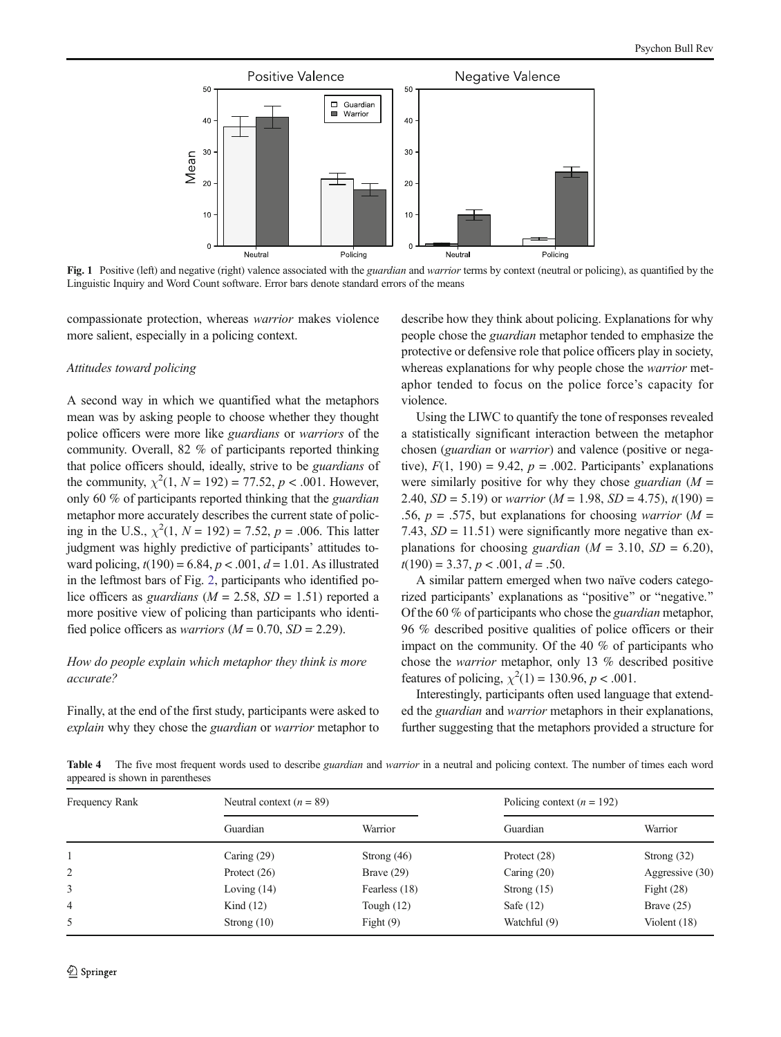<span id="page-5-0"></span>

Fig. 1 Positive (left) and negative (right) valence associated with the *guardian* and warrior terms by context (neutral or policing), as quantified by the Linguistic Inquiry and Word Count software. Error bars denote standard errors of the means

compassionate protection, whereas warrior makes violence more salient, especially in a policing context.

#### Attitudes toward policing

A second way in which we quantified what the metaphors mean was by asking people to choose whether they thought police officers were more like guardians or warriors of the community. Overall, 82 % of participants reported thinking that police officers should, ideally, strive to be guardians of the community,  $\chi^2(1, N = 192) = 77.52, p < .001$ . However, only 60 % of participants reported thinking that the guardian metaphor more accurately describes the current state of policing in the U.S.,  $\chi^2(1, N = 192) = 7.52$ ,  $p = .006$ . This latter judgment was highly predictive of participants' attitudes toward policing,  $t(190) = 6.84$ ,  $p < .001$ ,  $d = 1.01$ . As illustrated in the leftmost bars of Fig. [2,](#page-6-0) participants who identified police officers as *guardians* ( $M = 2.58$ ,  $SD = 1.51$ ) reported a more positive view of policing than participants who identified police officers as *warriors* ( $M = 0.70$ ,  $SD = 2.29$ ).

## How do people explain which metaphor they think is more accurate?

Finally, at the end of the first study, participants were asked to explain why they chose the guardian or warrior metaphor to describe how they think about policing. Explanations for why people chose the guardian metaphor tended to emphasize the protective or defensive role that police officers play in society, whereas explanations for why people chose the *warrior* metaphor tended to focus on the police force's capacity for violence.

Using the LIWC to quantify the tone of responses revealed a statistically significant interaction between the metaphor chosen (guardian or warrior) and valence (positive or negative),  $F(1, 190) = 9.42$ ,  $p = .002$ . Participants' explanations were similarly positive for why they chose *guardian*  $(M =$ 2.40,  $SD = 5.19$ ) or *warrior* ( $M = 1.98$ ,  $SD = 4.75$ ),  $t(190) =$ .56,  $p = .575$ , but explanations for choosing *warrior* ( $M =$ 7.43,  $SD = 11.51$ ) were significantly more negative than explanations for choosing *guardian* ( $M = 3.10$ ,  $SD = 6.20$ ),  $t(190) = 3.37, p < .001, d = .50.$ 

A similar pattern emerged when two naïve coders categorized participants' explanations as "positive" or "negative." Of the 60 % of participants who chose the guardian metaphor, 96 % described positive qualities of police officers or their impact on the community. Of the 40 % of participants who chose the warrior metaphor, only 13 % described positive features of policing,  $\chi^2(1) = 130.96, p < .001$ .

Interestingly, participants often used language that extended the guardian and warrior metaphors in their explanations, further suggesting that the metaphors provided a structure for

Table 4 The five most frequent words used to describe *guardian* and *warrior* in a neutral and policing context. The number of times each word appeared is shown in parentheses

| Frequency Rank | Neutral context $(n = 89)$ |               | Policing context ( $n = 192$ ) |                 |
|----------------|----------------------------|---------------|--------------------------------|-----------------|
|                | Guardian                   | Warrior       | Guardian                       | Warrior         |
|                | Caring $(29)$              | Strong $(46)$ | Protect $(28)$                 | Strong $(32)$   |
| 2              | Protect $(26)$             | Brave $(29)$  | Caring $(20)$                  | Aggressive (30) |
| 3              | Loving $(14)$              | Fearless (18) | Strong $(15)$                  | Fight $(28)$    |
| $\overline{4}$ | Kind $(12)$                | Tough $(12)$  | Safe $(12)$                    | Brave $(25)$    |
| 5.             | Strong $(10)$              | Fight $(9)$   | Watchful (9)                   | Violent (18)    |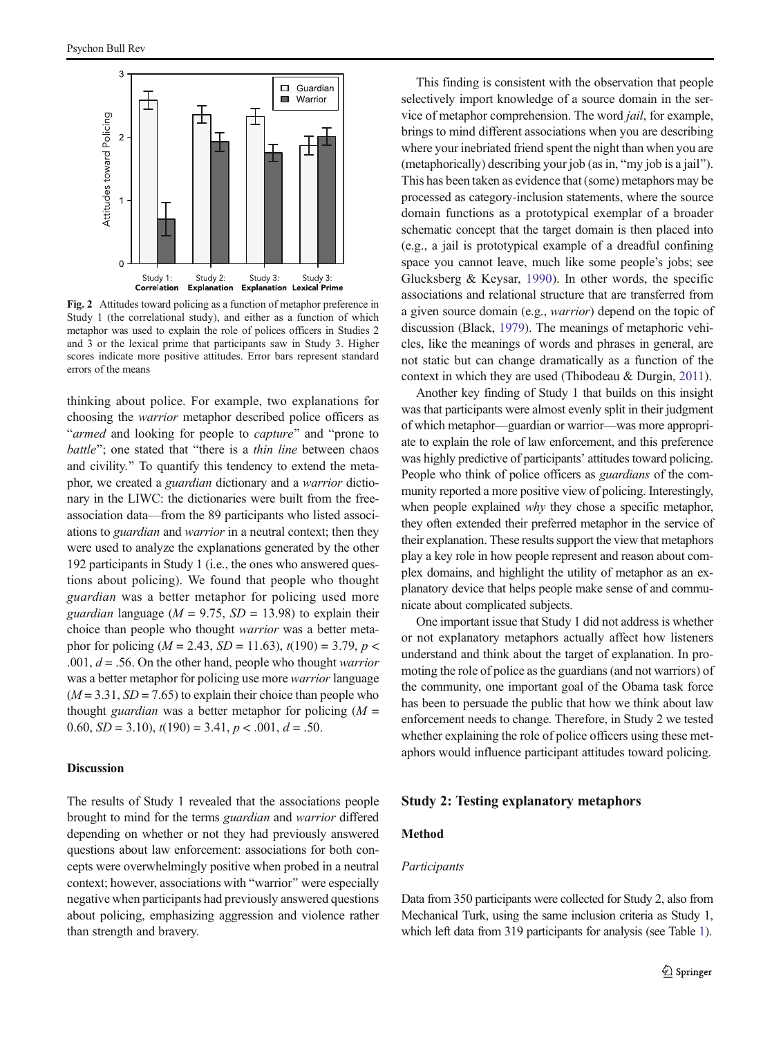<span id="page-6-0"></span>

Fig. 2 Attitudes toward policing as a function of metaphor preference in Study 1 (the correlational study), and either as a function of which metaphor was used to explain the role of polices officers in Studies 2 and 3 or the lexical prime that participants saw in Study 3. Higher scores indicate more positive attitudes. Error bars represent standard errors of the means

thinking about police. For example, two explanations for choosing the warrior metaphor described police officers as "armed and looking for people to *capture*" and "prone to  $battle$ "; one stated that "there is a thin line between chaos and civility." To quantify this tendency to extend the metaphor, we created a guardian dictionary and a warrior dictionary in the LIWC: the dictionaries were built from the freeassociation data—from the 89 participants who listed associations to guardian and warrior in a neutral context; then they were used to analyze the explanations generated by the other 192 participants in Study 1 (i.e., the ones who answered questions about policing). We found that people who thought guardian was a better metaphor for policing used more guardian language ( $M = 9.75$ ,  $SD = 13.98$ ) to explain their choice than people who thought warrior was a better metaphor for policing  $(M = 2.43, SD = 11.63)$ ,  $t(190) = 3.79, p <$ .001,  $d = 0.56$ . On the other hand, people who thought *warrior* was a better metaphor for policing use more warrior language  $(M = 3.31, SD = 7.65)$  to explain their choice than people who thought *guardian* was a better metaphor for policing  $(M =$ 0.60,  $SD = 3.10$ ,  $t(190) = 3.41$ ,  $p < .001$ ,  $d = .50$ .

### Discussion

The results of Study 1 revealed that the associations people brought to mind for the terms guardian and warrior differed depending on whether or not they had previously answered questions about law enforcement: associations for both concepts were overwhelmingly positive when probed in a neutral context; however, associations with "warrior" were especially negative when participants had previously answered questions about policing, emphasizing aggression and violence rather than strength and bravery.

This finding is consistent with the observation that people selectively import knowledge of a source domain in the service of metaphor comprehension. The word jail, for example, brings to mind different associations when you are describing where your inebriated friend spent the night than when you are (metaphorically) describing your job (as in, "my job is a jail"). This has been taken as evidence that (some) metaphors may be processed as category-inclusion statements, where the source domain functions as a prototypical exemplar of a broader schematic concept that the target domain is then placed into (e.g., a jail is prototypical example of a dreadful confining space you cannot leave, much like some people's jobs; see Glucksberg & Keysar, [1990](#page-11-0)). In other words, the specific associations and relational structure that are transferred from a given source domain (e.g., warrior) depend on the topic of discussion (Black, [1979](#page-10-0)). The meanings of metaphoric vehicles, like the meanings of words and phrases in general, are not static but can change dramatically as a function of the context in which they are used (Thibodeau & Durgin, [2011](#page-11-0)).

Another key finding of Study 1 that builds on this insight was that participants were almost evenly split in their judgment of which metaphor—guardian or warrior—was more appropriate to explain the role of law enforcement, and this preference was highly predictive of participants' attitudes toward policing. People who think of police officers as guardians of the community reported a more positive view of policing. Interestingly, when people explained *why* they chose a specific metaphor, they often extended their preferred metaphor in the service of their explanation. These results support the view that metaphors play a key role in how people represent and reason about complex domains, and highlight the utility of metaphor as an explanatory device that helps people make sense of and communicate about complicated subjects.

One important issue that Study 1 did not address is whether or not explanatory metaphors actually affect how listeners understand and think about the target of explanation. In promoting the role of police as the guardians (and not warriors) of the community, one important goal of the Obama task force has been to persuade the public that how we think about law enforcement needs to change. Therefore, in Study 2 we tested whether explaining the role of police officers using these metaphors would influence participant attitudes toward policing.

#### Study 2: Testing explanatory metaphors

### Method

#### Participants

Data from 350 participants were collected for Study 2, also from Mechanical Turk, using the same inclusion criteria as Study 1, which left data from 319 participants for analysis (see Table [1\)](#page-3-0).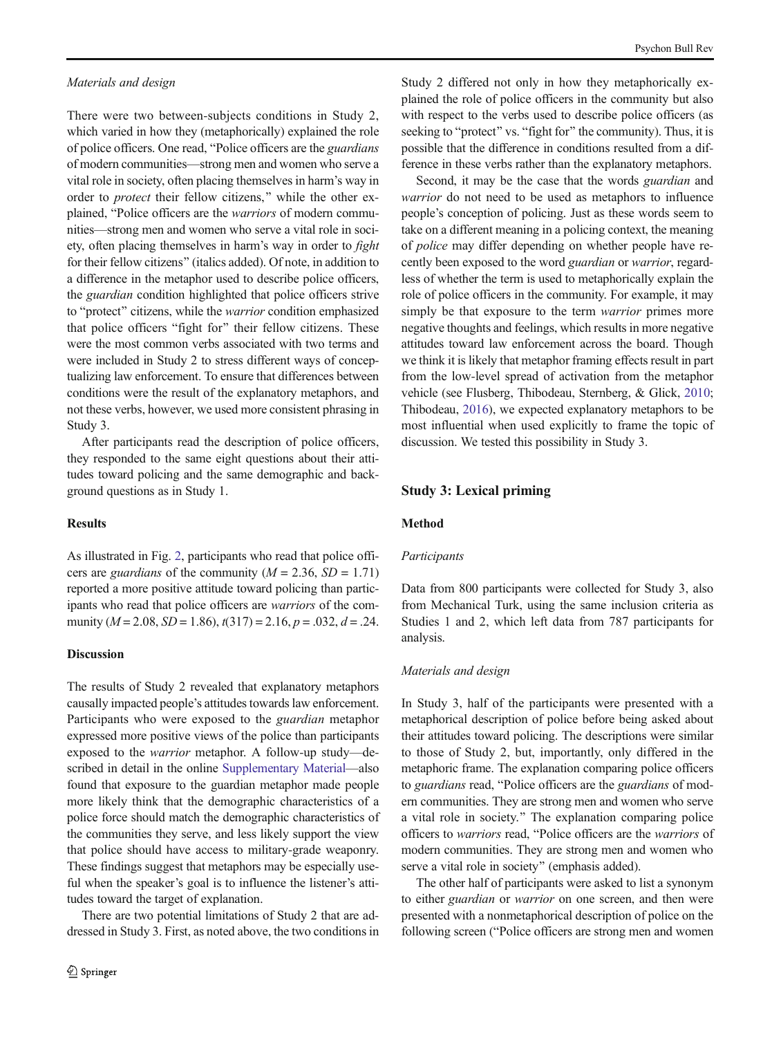There were two between-subjects conditions in Study 2, which varied in how they (metaphorically) explained the role of police officers. One read, "Police officers are the *guardians* of modern communities—strong men and women who serve a vital role in society, often placing themselves in harm's way in order to *protect* their fellow citizens," while the other explained, "Police officers are the warriors of modern communities—strong men and women who serve a vital role in society, often placing themselves in harm's way in order to fight for their fellow citizens" (italics added). Of note, in addition to a difference in the metaphor used to describe police officers, the *guardian* condition highlighted that police officers strive to "protect" citizens, while the *warrior* condition emphasized that police officers "fight for" their fellow citizens. These were the most common verbs associated with two terms and were included in Study 2 to stress different ways of conceptualizing law enforcement. To ensure that differences between conditions were the result of the explanatory metaphors, and not these verbs, however, we used more consistent phrasing in Study 3.

After participants read the description of police officers, they responded to the same eight questions about their attitudes toward policing and the same demographic and background questions as in Study 1.

## **Results**

As illustrated in Fig. [2](#page-6-0), participants who read that police officers are *guardians* of the community ( $M = 2.36$ ,  $SD = 1.71$ ) reported a more positive attitude toward policing than participants who read that police officers are warriors of the community ( $M = 2.08$ ,  $SD = 1.86$ ),  $t(317) = 2.16$ ,  $p = .032$ ,  $d = .24$ .

## **Discussion**

The results of Study 2 revealed that explanatory metaphors causally impacted people's attitudes towards law enforcement. Participants who were exposed to the guardian metaphor expressed more positive views of the police than participants exposed to the warrior metaphor. A follow-up study—described in detail in the online Supplementary Material—also found that exposure to the guardian metaphor made people more likely think that the demographic characteristics of a police force should match the demographic characteristics of the communities they serve, and less likely support the view that police should have access to military-grade weaponry. These findings suggest that metaphors may be especially useful when the speaker's goal is to influence the listener's attitudes toward the target of explanation.

There are two potential limitations of Study 2 that are addressed in Study 3. First, as noted above, the two conditions in Study 2 differed not only in how they metaphorically explained the role of police officers in the community but also with respect to the verbs used to describe police officers (as seeking to "protect" vs. "fight for" the community). Thus, it is possible that the difference in conditions resulted from a difference in these verbs rather than the explanatory metaphors.

Second, it may be the case that the words guardian and warrior do not need to be used as metaphors to influence people's conception of policing. Just as these words seem to take on a different meaning in a policing context, the meaning of police may differ depending on whether people have recently been exposed to the word guardian or warrior, regardless of whether the term is used to metaphorically explain the role of police officers in the community. For example, it may simply be that exposure to the term warrior primes more negative thoughts and feelings, which results in more negative attitudes toward law enforcement across the board. Though we think it is likely that metaphor framing effects result in part from the low-level spread of activation from the metaphor vehicle (see Flusberg, Thibodeau, Sternberg, & Glick, [2010;](#page-10-0) Thibodeau, [2016\)](#page-11-0), we expected explanatory metaphors to be most influential when used explicitly to frame the topic of discussion. We tested this possibility in Study 3.

## Study 3: Lexical priming

## Method

#### Participants

Data from 800 participants were collected for Study 3, also from Mechanical Turk, using the same inclusion criteria as Studies 1 and 2, which left data from 787 participants for analysis.

## Materials and design

In Study 3, half of the participants were presented with a metaphorical description of police before being asked about their attitudes toward policing. The descriptions were similar to those of Study 2, but, importantly, only differed in the metaphoric frame. The explanation comparing police officers to guardians read, "Police officers are the guardians of modern communities. They are strong men and women who serve a vital role in society.^ The explanation comparing police officers to warriors read, "Police officers are the warriors of modern communities. They are strong men and women who serve a vital role in society" (emphasis added).

The other half of participants were asked to list a synonym to either guardian or warrior on one screen, and then were presented with a nonmetaphorical description of police on the following screen ("Police officers are strong men and women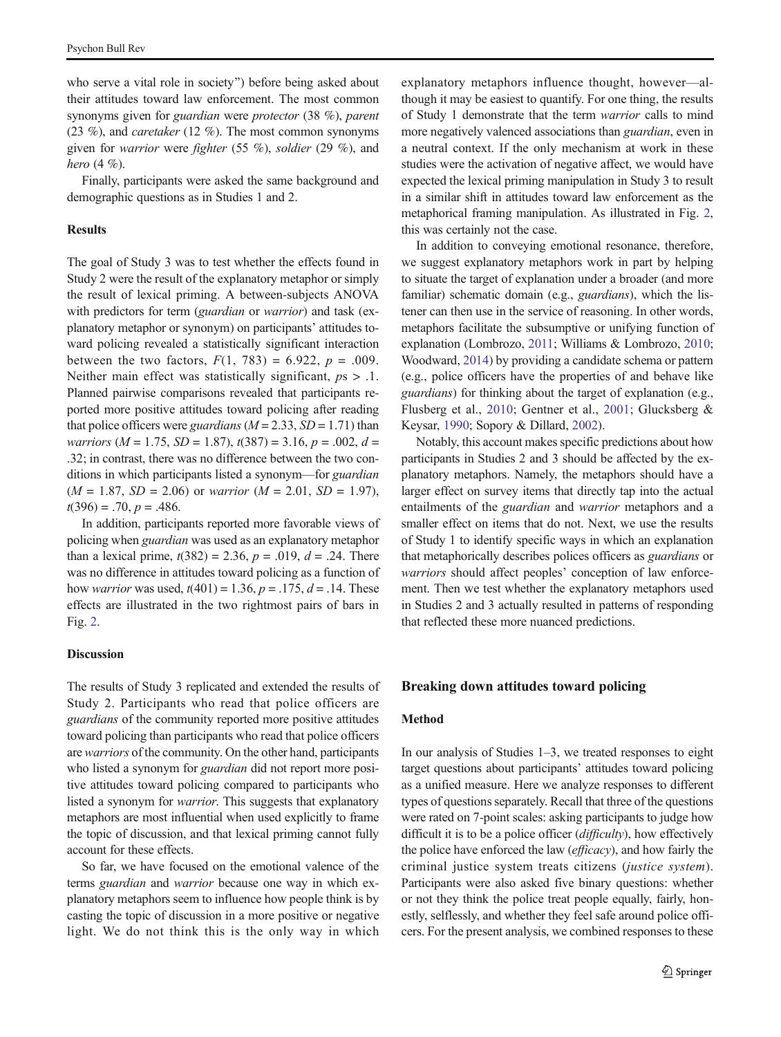who serve a vital role in society" before being asked about their attitudes toward law enforcement. The most common synonyms given for guardian were protector (38 %), parent (23 %), and *caretaker* (12 %). The most common synonyms given for warrior were fighter (55 %), soldier (29 %), and hero (4 %).

Finally, participants were asked the same background and demographic questions as in Studies 1 and 2.

## **Results**

The goal of Study 3 was to test whether the effects found in Study 2 were the result of the explanatory metaphor or simply the result of lexical priming. A between-subjects ANOVA with predictors for term (*guardian* or *warrior*) and task (explanatory metaphor or synonym) on participants' attitudes toward policing revealed a statistically significant interaction between the two factors,  $F(1, 783) = 6.922$ ,  $p = .009$ . Neither main effect was statistically significant,  $ps > 0.1$ . Planned pairwise comparisons revealed that participants reported more positive attitudes toward policing after reading that police officers were guardians  $(M = 2.33, SD = 1.71)$  than warriors ( $M = 1.75$ ,  $SD = 1.87$ ),  $t(387) = 3.16$ ,  $p = .002$ ,  $d =$ .32; in contrast, there was no difference between the two conditions in which participants listed a synonym—for guardian  $(M = 1.87, SD = 2.06)$  or warrior  $(M = 2.01, SD = 1.97)$ ,  $t(396) = .70, p = .486.$ 

In addition, participants reported more favorable views of policing when guardian was used as an explanatory metaphor than a lexical prime,  $t(382) = 2.36$ ,  $p = .019$ ,  $d = .24$ . There was no difference in attitudes toward policing as a function of how *warrior* was used,  $t(401) = 1.36$ ,  $p = .175$ ,  $d = .14$ . These effects are illustrated in the two rightmost pairs of bars in Fig. [2.](#page-6-0)

## **Discussion**

The results of Study 3 replicated and extended the results of Study 2. Participants who read that police officers are guardians of the community reported more positive attitudes toward policing than participants who read that police officers are warriors of the community. On the other hand, participants who listed a synonym for *guardian* did not report more positive attitudes toward policing compared to participants who listed a synonym for warrior. This suggests that explanatory metaphors are most influential when used explicitly to frame the topic of discussion, and that lexical priming cannot fully account for these effects.

So far, we have focused on the emotional valence of the terms guardian and warrior because one way in which explanatory metaphors seem to influence how people think is by casting the topic of discussion in a more positive or negative light. We do not think this is the only way in which explanatory metaphors influence thought, however—although it may be easiest to quantify. For one thing, the results of Study 1 demonstrate that the term warrior calls to mind more negatively valenced associations than guardian, even in a neutral context. If the only mechanism at work in these studies were the activation of negative affect, we would have expected the lexical priming manipulation in Study 3 to result in a similar shift in attitudes toward law enforcement as the metaphorical framing manipulation. As illustrated in Fig. [2,](#page-6-0) this was certainly not the case.

In addition to conveying emotional resonance, therefore, we suggest explanatory metaphors work in part by helping to situate the target of explanation under a broader (and more familiar) schematic domain (e.g., *guardians*), which the listener can then use in the service of reasoning. In other words, metaphors facilitate the subsumptive or unifying function of explanation (Lombrozo, [2011](#page-11-0); Williams & Lombrozo, [2010;](#page-11-0) Woodward, [2014\)](#page-11-0) by providing a candidate schema or pattern (e.g., police officers have the properties of and behave like guardians) for thinking about the target of explanation (e.g., Flusberg et al., [2010](#page-10-0); Gentner et al., [2001;](#page-10-0) Glucksberg & Keysar, [1990;](#page-11-0) Sopory & Dillard, [2002](#page-11-0)).

Notably, this account makes specific predictions about how participants in Studies 2 and 3 should be affected by the explanatory metaphors. Namely, the metaphors should have a larger effect on survey items that directly tap into the actual entailments of the guardian and warrior metaphors and a smaller effect on items that do not. Next, we use the results of Study 1 to identify specific ways in which an explanation that metaphorically describes polices officers as guardians or warriors should affect peoples' conception of law enforcement. Then we test whether the explanatory metaphors used in Studies 2 and 3 actually resulted in patterns of responding that reflected these more nuanced predictions.

## Breaking down attitudes toward policing

## Method

In our analysis of Studies 1–3, we treated responses to eight target questions about participants' attitudes toward policing as a unified measure. Here we analyze responses to different types of questions separately. Recall that three of the questions were rated on 7-point scales: asking participants to judge how difficult it is to be a police officer (difficulty), how effectively the police have enforced the law (efficacy), and how fairly the criminal justice system treats citizens (justice system). Participants were also asked five binary questions: whether or not they think the police treat people equally, fairly, honestly, selflessly, and whether they feel safe around police officers. For the present analysis, we combined responses to these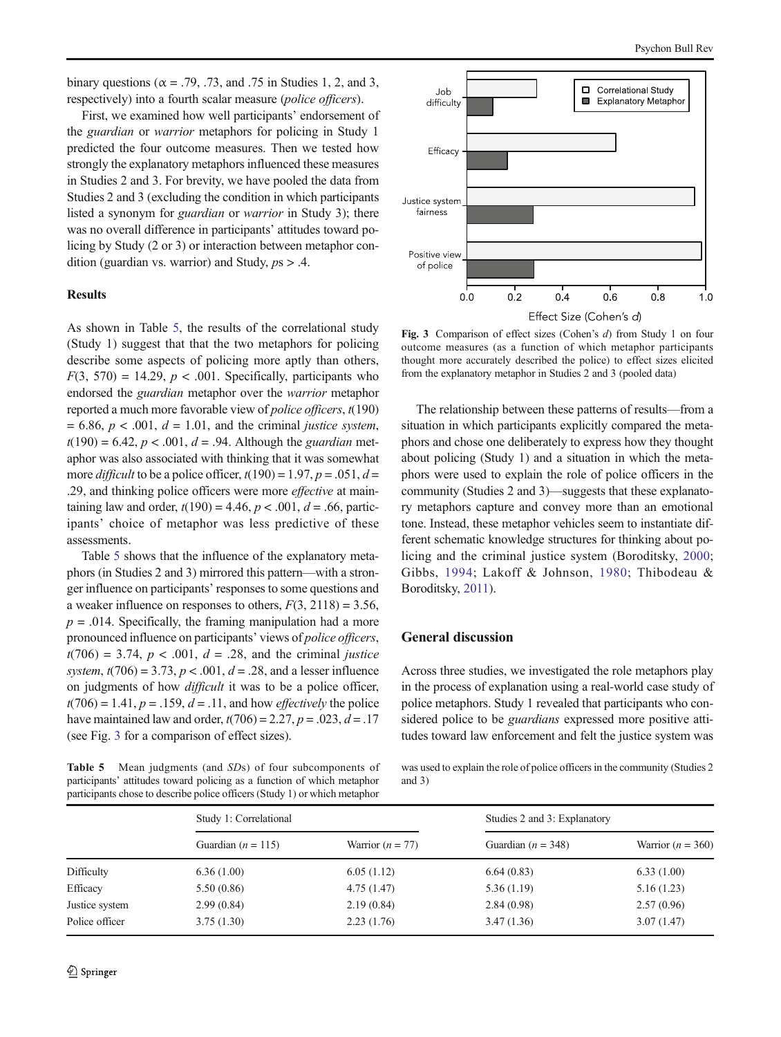binary questions ( $\alpha = .79, .73,$  and  $.75$  in Studies 1, 2, and 3, respectively) into a fourth scalar measure (police officers).

First, we examined how well participants' endorsement of the guardian or warrior metaphors for policing in Study 1 predicted the four outcome measures. Then we tested how strongly the explanatory metaphors influenced these measures in Studies 2 and 3. For brevity, we have pooled the data from Studies 2 and 3 (excluding the condition in which participants listed a synonym for guardian or warrior in Study 3); there was no overall difference in participants' attitudes toward policing by Study (2 or 3) or interaction between metaphor condition (guardian vs. warrior) and Study,  $ps > .4$ .

## **Results**

As shown in Table 5, the results of the correlational study (Study 1) suggest that that the two metaphors for policing describe some aspects of policing more aptly than others,  $F(3, 570) = 14.29$ ,  $p < .001$ . Specifically, participants who endorsed the guardian metaphor over the warrior metaphor reported a much more favorable view of *police officers*,  $t(190)$  $= 6.86, p < .001, d = 1.01$ , and the criminal justice system,  $t(190) = 6.42, p < .001, d = .94$ . Although the *guardian* metaphor was also associated with thinking that it was somewhat more *difficult* to be a police officer,  $t(190) = 1.97$ ,  $p = .051$ ,  $d =$ .29, and thinking police officers were more *effective* at maintaining law and order,  $t(190) = 4.46$ ,  $p < .001$ ,  $d = .66$ , participants' choice of metaphor was less predictive of these assessments.

Table 5 shows that the influence of the explanatory metaphors (in Studies 2 and 3) mirrored this pattern—with a stronger influence on participants' responses to some questions and a weaker influence on responses to others,  $F(3, 2118) = 3.56$ ,  $p = .014$ . Specifically, the framing manipulation had a more pronounced influence on participants' views of police officers,  $t(706) = 3.74, p < .001, d = .28,$  and the criminal justice system,  $t(706) = 3.73$ ,  $p < .001$ ,  $d = .28$ , and a lesser influence on judgments of how difficult it was to be a police officer,  $t(706) = 1.41$ ,  $p = .159$ ,  $d = .11$ , and how *effectively* the police have maintained law and order,  $t(706) = 2.27$ ,  $p = .023$ ,  $d = .17$ (see Fig. 3 for a comparison of effect sizes).

Table 5 Mean judgments (and SDs) of four subcomponents of participants' attitudes toward policing as a function of which metaphor participants chose to describe police officers (Study 1) or which metaphor



Fig. 3 Comparison of effect sizes (Cohen's d) from Study 1 on four outcome measures (as a function of which metaphor participants thought more accurately described the police) to effect sizes elicited from the explanatory metaphor in Studies 2 and 3 (pooled data)

The relationship between these patterns of results—from a situation in which participants explicitly compared the metaphors and chose one deliberately to express how they thought about policing (Study 1) and a situation in which the metaphors were used to explain the role of police officers in the community (Studies 2 and 3)—suggests that these explanatory metaphors capture and convey more than an emotional tone. Instead, these metaphor vehicles seem to instantiate different schematic knowledge structures for thinking about policing and the criminal justice system (Boroditsky, [2000;](#page-10-0) Gibbs, [1994;](#page-11-0) Lakoff & Johnson, [1980;](#page-11-0) Thibodeau & Boroditsky, [2011\)](#page-11-0).

# General discussion

Across three studies, we investigated the role metaphors play in the process of explanation using a real-world case study of police metaphors. Study 1 revealed that participants who considered police to be *guardians* expressed more positive attitudes toward law enforcement and felt the justice system was

was used to explain the role of police officers in the community (Studies 2 and 3)

|                | Study 1: Correlational |                    | Studies 2 and 3: Explanatory |                       |
|----------------|------------------------|--------------------|------------------------------|-----------------------|
|                | Guardian ( $n = 115$ ) | Warrior $(n = 77)$ | Guardian ( $n = 348$ )       | Warrior ( $n = 360$ ) |
| Difficulty     | 6.36(1.00)             | 6.05(1.12)         | 6.64(0.83)                   | 6.33(1.00)            |
| Efficacy       | 5.50(0.86)             | 4.75(1.47)         | 5.36(1.19)                   | 5.16(1.23)            |
| Justice system | 2.99(0.84)             | 2.19(0.84)         | 2.84(0.98)                   | 2.57(0.96)            |
| Police officer | 3.75(1.30)             | 2.23(1.76)         | 3.47(1.36)                   | 3.07(1.47)            |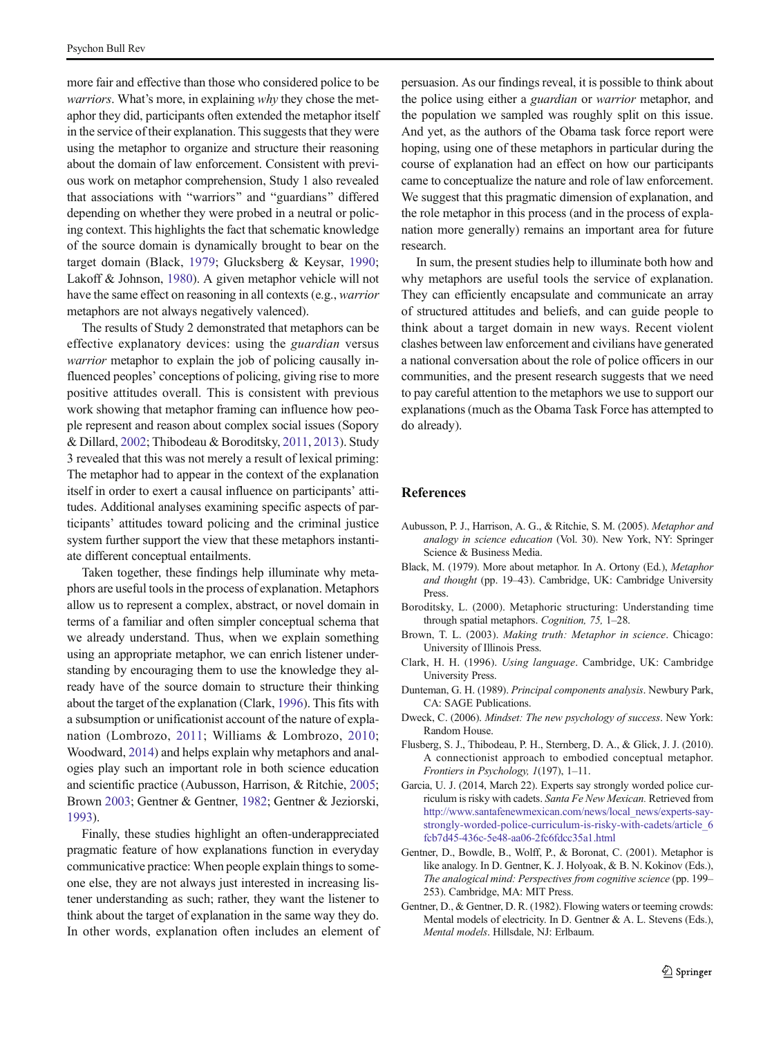<span id="page-10-0"></span>more fair and effective than those who considered police to be warriors. What's more, in explaining why they chose the metaphor they did, participants often extended the metaphor itself in the service of their explanation. This suggests that they were using the metaphor to organize and structure their reasoning about the domain of law enforcement. Consistent with previous work on metaphor comprehension, Study 1 also revealed that associations with "warriors" and "guardians" differed depending on whether they were probed in a neutral or policing context. This highlights the fact that schematic knowledge of the source domain is dynamically brought to bear on the target domain (Black, 1979; Glucksberg & Keysar, [1990](#page-11-0); Lakoff & Johnson, [1980\)](#page-11-0). A given metaphor vehicle will not have the same effect on reasoning in all contexts (e.g., warrior metaphors are not always negatively valenced).

The results of Study 2 demonstrated that metaphors can be effective explanatory devices: using the guardian versus warrior metaphor to explain the job of policing causally influenced peoples' conceptions of policing, giving rise to more positive attitudes overall. This is consistent with previous work showing that metaphor framing can influence how people represent and reason about complex social issues (Sopory & Dillard, [2002;](#page-11-0) Thibodeau & Boroditsky, [2011](#page-11-0), [2013\)](#page-11-0). Study 3 revealed that this was not merely a result of lexical priming: The metaphor had to appear in the context of the explanation itself in order to exert a causal influence on participants' attitudes. Additional analyses examining specific aspects of participants' attitudes toward policing and the criminal justice system further support the view that these metaphors instantiate different conceptual entailments.

Taken together, these findings help illuminate why metaphors are useful tools in the process of explanation. Metaphors allow us to represent a complex, abstract, or novel domain in terms of a familiar and often simpler conceptual schema that we already understand. Thus, when we explain something using an appropriate metaphor, we can enrich listener understanding by encouraging them to use the knowledge they already have of the source domain to structure their thinking about the target of the explanation (Clark, 1996). This fits with a subsumption or unificationist account of the nature of explanation (Lombrozo, [2011](#page-11-0); Williams & Lombrozo, [2010](#page-11-0); Woodward, [2014\)](#page-11-0) and helps explain why metaphors and analogies play such an important role in both science education and scientific practice (Aubusson, Harrison, & Ritchie, 2005; Brown 2003; Gentner & Gentner, 1982; Gentner & Jeziorski, [1993\)](#page-11-0).

Finally, these studies highlight an often-underappreciated pragmatic feature of how explanations function in everyday communicative practice: When people explain things to someone else, they are not always just interested in increasing listener understanding as such; rather, they want the listener to think about the target of explanation in the same way they do. In other words, explanation often includes an element of persuasion. As our findings reveal, it is possible to think about the police using either a guardian or warrior metaphor, and the population we sampled was roughly split on this issue. And yet, as the authors of the Obama task force report were hoping, using one of these metaphors in particular during the course of explanation had an effect on how our participants came to conceptualize the nature and role of law enforcement. We suggest that this pragmatic dimension of explanation, and the role metaphor in this process (and in the process of explanation more generally) remains an important area for future research.

In sum, the present studies help to illuminate both how and why metaphors are useful tools the service of explanation. They can efficiently encapsulate and communicate an array of structured attitudes and beliefs, and can guide people to think about a target domain in new ways. Recent violent clashes between law enforcement and civilians have generated a national conversation about the role of police officers in our communities, and the present research suggests that we need to pay careful attention to the metaphors we use to support our explanations (much as the Obama Task Force has attempted to do already).

## References

- Aubusson, P. J., Harrison, A. G., & Ritchie, S. M. (2005). Metaphor and analogy in science education (Vol. 30). New York, NY: Springer Science & Business Media.
- Black, M. (1979). More about metaphor. In A. Ortony (Ed.), Metaphor and thought (pp. 19–43). Cambridge, UK: Cambridge University Press.
- Boroditsky, L. (2000). Metaphoric structuring: Understanding time through spatial metaphors. Cognition, 75, 1–28.
- Brown, T. L. (2003). Making truth: Metaphor in science. Chicago: University of Illinois Press.
- Clark, H. H. (1996). Using language. Cambridge, UK: Cambridge University Press.
- Dunteman, G. H. (1989). Principal components analysis. Newbury Park, CA: SAGE Publications.
- Dweck, C. (2006). Mindset: The new psychology of success. New York: Random House.
- Flusberg, S. J., Thibodeau, P. H., Sternberg, D. A., & Glick, J. J. (2010). A connectionist approach to embodied conceptual metaphor. Frontiers in Psychology, 1(197), 1–11.
- Garcia, U. J. (2014, March 22). Experts say strongly worded police curriculum is risky with cadets. Santa Fe New Mexican. Retrieved from [http://www.santafenewmexican.com/news/local\\_news/experts-say](http://dx.doi.org/http://www.santafenewmexican.com/news/local_news/experts-say-strongly-worded-police-curriculum-is-risky-with-cadets/article_6fcb7d45-436c-5e48-aa06-2fc6fdcc35a1.html)strongly-worded-police-curriculum-is-risky-with-cadets/article 6 [fcb7d45-436c-5e48-aa06-2fc6fdcc35a1.html](http://dx.doi.org/http://www.santafenewmexican.com/news/local_news/experts-say-strongly-worded-police-curriculum-is-risky-with-cadets/article_6fcb7d45-436c-5e48-aa06-2fc6fdcc35a1.html)
- Gentner, D., Bowdle, B., Wolff, P., & Boronat, C. (2001). Metaphor is like analogy. In D. Gentner, K. J. Holyoak, & B. N. Kokinov (Eds.), The analogical mind: Perspectives from cognitive science (pp. 199– 253). Cambridge, MA: MIT Press.
- Gentner, D., & Gentner, D. R. (1982). Flowing waters or teeming crowds: Mental models of electricity. In D. Gentner & A. L. Stevens (Eds.), Mental models. Hillsdale, NJ: Erlbaum.